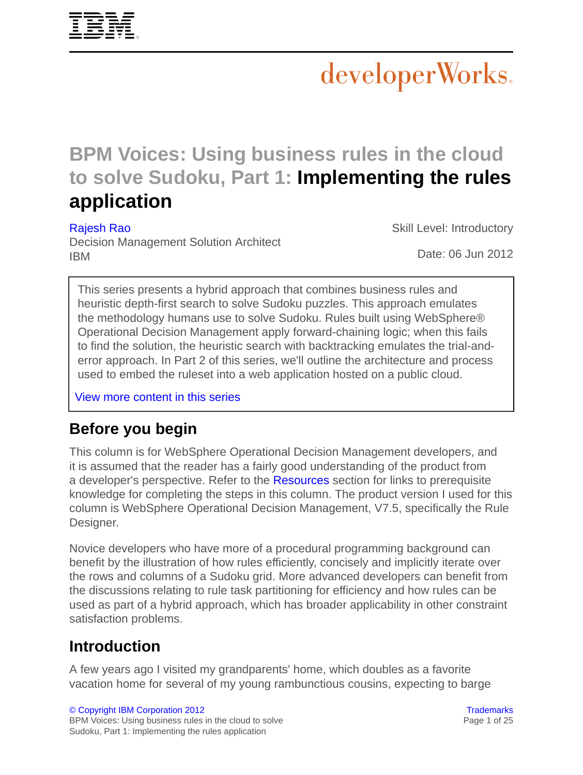

# developerWorks.

## **BPM Voices: Using business rules in the cloud to solve Sudoku, Part 1: Implementing the rules application**

[Rajesh Rao](#page-24-0)

Skill Level: Introductory

Decision Management Solution Architect IBM

Date: 06 Jun 2012

This series presents a hybrid approach that combines business rules and heuristic depth-first search to solve Sudoku puzzles. This approach emulates the methodology humans use to solve Sudoku. Rules built using WebSphere® Operational Decision Management apply forward-chaining logic; when this fails to find the solution, the heuristic search with backtracking emulates the trial-anderror approach. In Part 2 of this series, we'll outline the architecture and process used to embed the ruleset into a web application hosted on a public cloud.

[View more content in this series](http://www.ibm.com/developerworks/views/bpm/libraryview.jsp?search_by=Rules+in+the+cloud+solving+Sudoku)

### **Before you begin**

This column is for WebSphere Operational Decision Management developers, and it is assumed that the reader has a fairly good understanding of the product from a developer's perspective. Refer to the [Resources](#page-23-0) section for links to prerequisite knowledge for completing the steps in this column. The product version I used for this column is WebSphere Operational Decision Management, V7.5, specifically the Rule Designer.

Novice developers who have more of a procedural programming background can benefit by the illustration of how rules efficiently, concisely and implicitly iterate over the rows and columns of a Sudoku grid. More advanced developers can benefit from the discussions relating to rule task partitioning for efficiency and how rules can be used as part of a hybrid approach, which has broader applicability in other constraint satisfaction problems.

### **Introduction**

A few years ago I visited my grandparents' home, which doubles as a favorite vacation home for several of my young rambunctious cousins, expecting to barge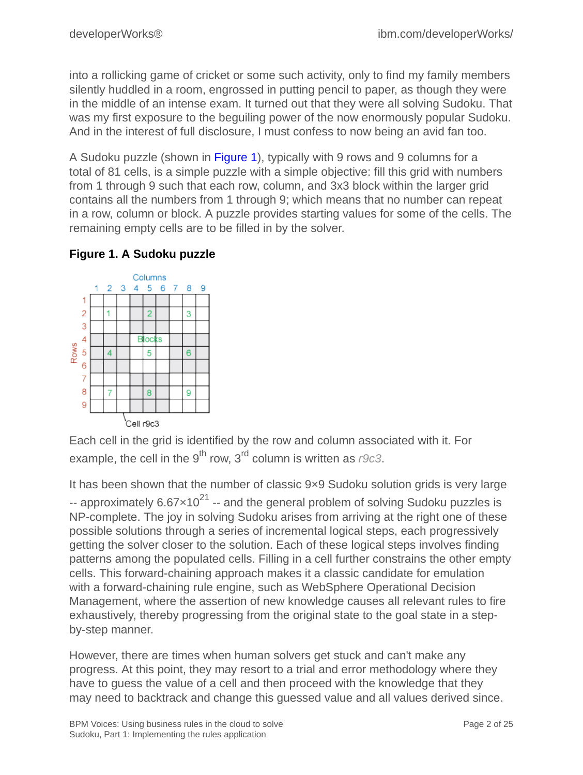into a rollicking game of cricket or some such activity, only to find my family members silently huddled in a room, engrossed in putting pencil to paper, as though they were in the middle of an intense exam. It turned out that they were all solving Sudoku. That was my first exposure to the beguiling power of the now enormously popular Sudoku. And in the interest of full disclosure, I must confess to now being an avid fan too.

A Sudoku puzzle (shown in Figure 1), typically with 9 rows and 9 columns for a total of 81 cells, is a simple puzzle with a simple objective: fill this grid with numbers from 1 through 9 such that each row, column, and 3x3 block within the larger grid contains all the numbers from 1 through 9; which means that no number can repeat in a row, column or block. A puzzle provides starting values for some of the cells. The remaining empty cells are to be filled in by the solver.

#### Columns 1  $\overline{2}$ 3  $\overline{4}$ 5 6  $\overline{7}$ 8 9 1  $\overline{2}$  $\overline{2}$ 1 3 3 4 **Blocks Rows** 5  $\overline{4}$ 5 6  $\ddot{\mathbf{6}}$  $\overline{7}$ 8 8 9 7 9 Cell r9c3

#### **Figure 1. A Sudoku puzzle**

Each cell in the grid is identified by the row and column associated with it. For example, the cell in the 9<sup>th</sup> row, 3<sup>rd</sup> column is written as  $r9c3$ .

It has been shown that the number of classic 9×9 Sudoku solution grids is very large -- approximately  $6.67 \times 10^{21}$  -- and the general problem of solving Sudoku puzzles is NP-complete. The joy in solving Sudoku arises from arriving at the right one of these possible solutions through a series of incremental logical steps, each progressively getting the solver closer to the solution. Each of these logical steps involves finding patterns among the populated cells. Filling in a cell further constrains the other empty cells. This forward-chaining approach makes it a classic candidate for emulation with a forward-chaining rule engine, such as WebSphere Operational Decision Management, where the assertion of new knowledge causes all relevant rules to fire exhaustively, thereby progressing from the original state to the goal state in a stepby-step manner.

However, there are times when human solvers get stuck and can't make any progress. At this point, they may resort to a trial and error methodology where they have to guess the value of a cell and then proceed with the knowledge that they may need to backtrack and change this guessed value and all values derived since.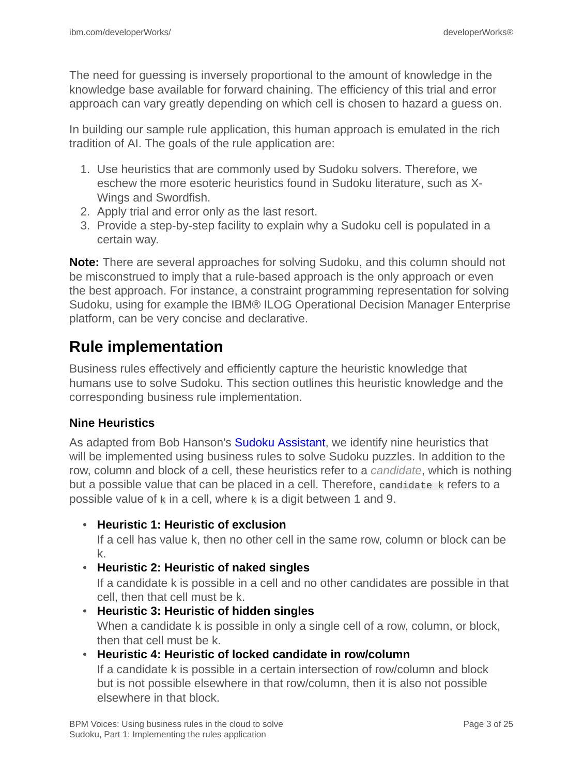The need for guessing is inversely proportional to the amount of knowledge in the knowledge base available for forward chaining. The efficiency of this trial and error approach can vary greatly depending on which cell is chosen to hazard a guess on.

In building our sample rule application, this human approach is emulated in the rich tradition of AI. The goals of the rule application are:

- 1. Use heuristics that are commonly used by Sudoku solvers. Therefore, we eschew the more esoteric heuristics found in Sudoku literature, such as X-Wings and Swordfish.
- 2. Apply trial and error only as the last resort.
- 3. Provide a step-by-step facility to explain why a Sudoku cell is populated in a certain way.

**Note:** There are several approaches for solving Sudoku, and this column should not be misconstrued to imply that a rule-based approach is the only approach or even the best approach. For instance, a constraint programming representation for solving Sudoku, using for example the IBM® ILOG Operational Decision Manager Enterprise platform, can be very concise and declarative.

### **Rule implementation**

Business rules effectively and efficiently capture the heuristic knowledge that humans use to solve Sudoku. This section outlines this heuristic knowledge and the corresponding business rule implementation.

#### **Nine Heuristics**

As adapted from Bob Hanson's [Sudoku Assistant](http://www.stolaf.edu/people/hansonr/sudoku/explain.htm), we identify nine heuristics that will be implemented using business rules to solve Sudoku puzzles. In addition to the row, column and block of a cell, these heuristics refer to a *candidate*, which is nothing but a possible value that can be placed in a cell. Therefore, candidate k refers to a possible value of  $k$  in a cell, where  $k$  is a digit between 1 and 9.

#### • **Heuristic 1: Heuristic of exclusion**

If a cell has value k, then no other cell in the same row, column or block can be k.

#### • **Heuristic 2: Heuristic of naked singles**

If a candidate k is possible in a cell and no other candidates are possible in that cell, then that cell must be k.

• **Heuristic 3: Heuristic of hidden singles** When a candidate k is possible in only a single cell of a row, column, or block, then that cell must be k.

#### • **Heuristic 4: Heuristic of locked candidate in row/column**

If a candidate k is possible in a certain intersection of row/column and block but is not possible elsewhere in that row/column, then it is also not possible elsewhere in that block.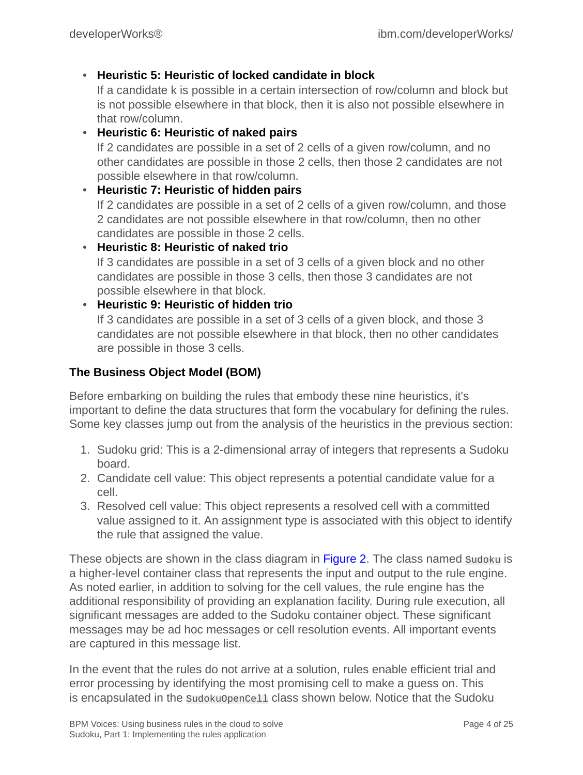#### • **Heuristic 5: Heuristic of locked candidate in block**

If a candidate k is possible in a certain intersection of row/column and block but is not possible elsewhere in that block, then it is also not possible elsewhere in that row/column.

• **Heuristic 6: Heuristic of naked pairs** If 2 candidates are possible in a set of 2 cells of a given row/column, and no other candidates are possible in those 2 cells, then those 2 candidates are not possible elsewhere in that row/column.

#### • **Heuristic 7: Heuristic of hidden pairs**

If 2 candidates are possible in a set of 2 cells of a given row/column, and those 2 candidates are not possible elsewhere in that row/column, then no other candidates are possible in those 2 cells.

• **Heuristic 8: Heuristic of naked trio** If 3 candidates are possible in a set of 3 cells of a given block and no other candidates are possible in those 3 cells, then those 3 candidates are not possible elsewhere in that block.

#### • **Heuristic 9: Heuristic of hidden trio**

If 3 candidates are possible in a set of 3 cells of a given block, and those 3 candidates are not possible elsewhere in that block, then no other candidates are possible in those 3 cells.

#### **The Business Object Model (BOM)**

Before embarking on building the rules that embody these nine heuristics, it's important to define the data structures that form the vocabulary for defining the rules. Some key classes jump out from the analysis of the heuristics in the previous section:

- 1. Sudoku grid: This is a 2-dimensional array of integers that represents a Sudoku board.
- 2. Candidate cell value: This object represents a potential candidate value for a cell.
- 3. Resolved cell value: This object represents a resolved cell with a committed value assigned to it. An assignment type is associated with this object to identify the rule that assigned the value.

These objects are shown in the class diagram in Figure 2. The class named sudoku is a higher-level container class that represents the input and output to the rule engine. As noted earlier, in addition to solving for the cell values, the rule engine has the additional responsibility of providing an explanation facility. During rule execution, all significant messages are added to the Sudoku container object. These significant messages may be ad hoc messages or cell resolution events. All important events are captured in this message list.

In the event that the rules do not arrive at a solution, rules enable efficient trial and error processing by identifying the most promising cell to make a guess on. This is encapsulated in the SudokuOpenCell class shown below. Notice that the Sudoku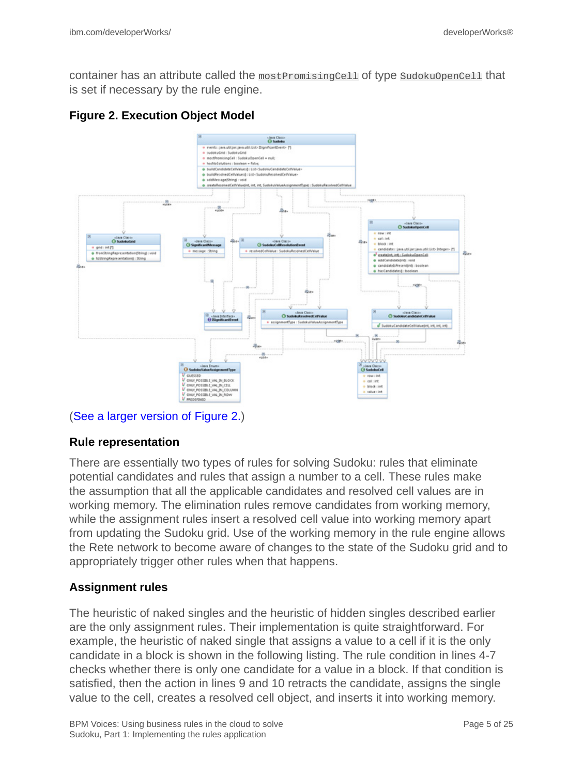container has an attribute called the mostPromisingCell of type SudokuOpenCell that is set if necessary by the rule engine.

#### **Figure 2. Execution Object Model**



#### ([See a larger version of Figure 2.](1206_rao-sidefile.html))

#### **Rule representation**

There are essentially two types of rules for solving Sudoku: rules that eliminate potential candidates and rules that assign a number to a cell. These rules make the assumption that all the applicable candidates and resolved cell values are in working memory. The elimination rules remove candidates from working memory, while the assignment rules insert a resolved cell value into working memory apart from updating the Sudoku grid. Use of the working memory in the rule engine allows the Rete network to become aware of changes to the state of the Sudoku grid and to appropriately trigger other rules when that happens.

#### **Assignment rules**

The heuristic of naked singles and the heuristic of hidden singles described earlier are the only assignment rules. Their implementation is quite straightforward. For example, the heuristic of naked single that assigns a value to a cell if it is the only candidate in a block is shown in the following listing. The rule condition in lines 4-7 checks whether there is only one candidate for a value in a block. If that condition is satisfied, then the action in lines 9 and 10 retracts the candidate, assigns the single value to the cell, creates a resolved cell object, and inserts it into working memory.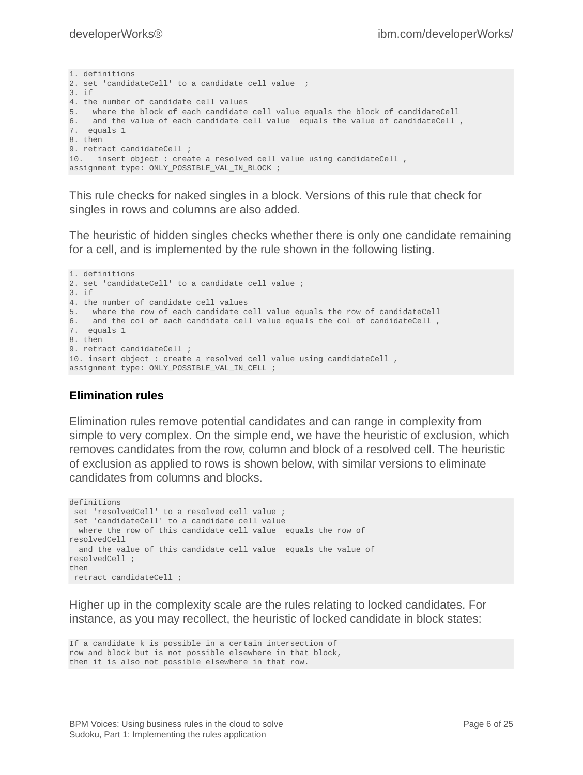```
1. definitions
2. set 'candidateCell' to a candidate cell value ;
3. if
4. the number of candidate cell values
5. where the block of each candidate cell value equals the block of candidateCell
6. and the value of each candidate cell value equals the value of candidateCell,
7. equals 1
8. then
9. retract candidateCell ;
10. insert object : create a resolved cell value using candidateCell ,
assignment type: ONLY_POSSIBLE_VAL_IN_BLOCK ;
```
This rule checks for naked singles in a block. Versions of this rule that check for singles in rows and columns are also added.

The heuristic of hidden singles checks whether there is only one candidate remaining for a cell, and is implemented by the rule shown in the following listing.

```
1. definitions
2. set 'candidateCell' to a candidate cell value ;
3. if
4. the number of candidate cell values
5. where the row of each candidate cell value equals the row of candidateCell
6. and the col of each candidate cell value equals the col of candidateCell ,
7. equals 1
8. then
9. retract candidateCell ;
10. insert object : create a resolved cell value using candidateCell ,
assignment type: ONLY_POSSIBLE_VAL_IN_CELL ;
```
#### **Elimination rules**

Elimination rules remove potential candidates and can range in complexity from simple to very complex. On the simple end, we have the heuristic of exclusion, which removes candidates from the row, column and block of a resolved cell. The heuristic of exclusion as applied to rows is shown below, with similar versions to eliminate candidates from columns and blocks.

```
definitions
  set 'resolvedCell' to a resolved cell value ;
 set 'candidateCell' to a candidate cell value
  where the row of this candidate cell value equals the row of
resolvedCell
  and the value of this candidate cell value equals the value of
resolvedCell ;
then
 retract candidateCell ;
```
Higher up in the complexity scale are the rules relating to locked candidates. For instance, as you may recollect, the heuristic of locked candidate in block states:

```
If a candidate k is possible in a certain intersection of
row and block but is not possible elsewhere in that block,
then it is also not possible elsewhere in that row.
```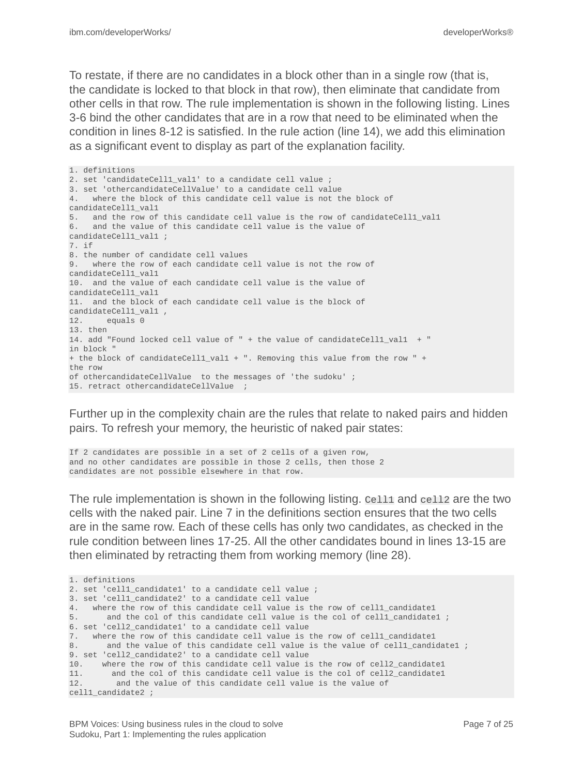To restate, if there are no candidates in a block other than in a single row (that is, the candidate is locked to that block in that row), then eliminate that candidate from other cells in that row. The rule implementation is shown in the following listing. Lines 3-6 bind the other candidates that are in a row that need to be eliminated when the condition in lines 8-12 is satisfied. In the rule action (line 14), we add this elimination as a significant event to display as part of the explanation facility.

1. definitions 2. set 'candidateCell1 val1' to a candidate cell value ; 3. set 'othercandidateCellValue' to a candidate cell value 4. where the block of this candidate cell value is not the block of candidateCell1\_val1 5. and the row of this candidate cell value is the row of candidateCell1\_val1 6. and the value of this candidate cell value is the value of candidateCell1\_val1 ; 7. if 8. the number of candidate cell values 9. where the row of each candidate cell value is not the row of candidateCell1\_val1 10. and the value of each candidate cell value is the value of candidateCell1\_val1 11. and the block of each candidate cell value is the block of candidateCell1\_val1 , equals 0 13. then 14. add "Found locked cell value of " + the value of candidateCell1\_val1 + " in block " + the block of candidateCell1\_val1 + ". Removing this value from the row " + the row of othercandidateCellValue to the messages of 'the sudoku' ; 15. retract othercandidateCellValue ;

Further up in the complexity chain are the rules that relate to naked pairs and hidden pairs. To refresh your memory, the heuristic of naked pair states:

If 2 candidates are possible in a set of 2 cells of a given row, and no other candidates are possible in those 2 cells, then those 2 candidates are not possible elsewhere in that row.

The rule implementation is shown in the following listing. Cell1 and cell2 are the two cells with the naked pair. Line 7 in the definitions section ensures that the two cells are in the same row. Each of these cells has only two candidates, as checked in the rule condition between lines 17-25. All the other candidates bound in lines 13-15 are then eliminated by retracting them from working memory (line 28).

```
1. definitions
2. set 'cell1 candidate1' to a candidate cell value ;
3. set 'cell1_candidate2' to a candidate cell value
4. where the row of this candidate cell value is the row of cell1_candidate1
5. and the col of this candidate cell value is the col of cell1_candidate1 ;
6. set 'cell2_candidate1' to a candidate cell value
7. where the row of this candidate cell value is the row of cell1_candidate1
8. and the value of this candidate cell value is the value of cell1_candidate1 ;
9. set 'cell2_candidate2' to a candidate cell value
10. where the row of this candidate cell value is the row of cell2_candidate1<br>11. and the col of this candidate cell value is the col of cell2_candidate1
11. and the col of this candidate cell value is the col of cell2_candidate1<br>12 and the value of this candidate cell value is the value of
          and the value of this candidate cell value is the value of
cell1_candidate2 ;
```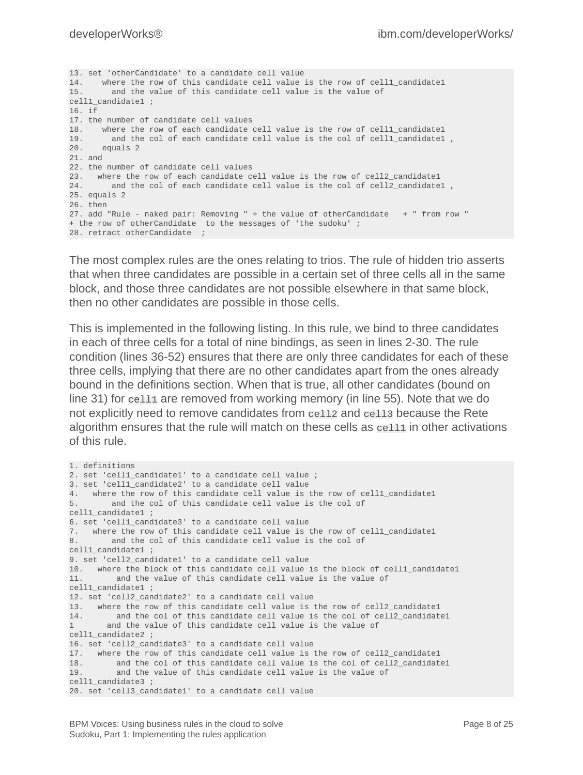13. set 'otherCandidate' to a candidate cell value 14. where the row of this candidate cell value is the row of cell1\_candidate1 15. and the value of this candidate cell value is the value of cell1\_candidate1 ; 16. if 17. the number of candidate cell values<br>18. where the row of each candidate where the row of each candidate cell value is the row of cell1\_candidate1 19. and the col of each candidate cell value is the col of cell1\_candidate1 , equals 2 21. and 22. the number of candidate cell values 23. where the row of each candidate cell value is the row of cell2\_candidate1 24. and the col of each candidate cell value is the col of cell2\_candidate1 , 25. equals 2 26. then 27. add "Rule - naked pair: Removing " + the value of otherCandidate + " from row " + the row of otherCandidate to the messages of 'the sudoku' ; 28. retract otherCandidate ;

The most complex rules are the ones relating to trios. The rule of hidden trio asserts that when three candidates are possible in a certain set of three cells all in the same block, and those three candidates are not possible elsewhere in that same block, then no other candidates are possible in those cells.

This is implemented in the following listing. In this rule, we bind to three candidates in each of three cells for a total of nine bindings, as seen in lines 2-30. The rule condition (lines 36-52) ensures that there are only three candidates for each of these three cells, implying that there are no other candidates apart from the ones already bound in the definitions section. When that is true, all other candidates (bound on line 31) for cell1 are removed from working memory (in line 55). Note that we do not explicitly need to remove candidates from cell2 and cell3 because the Rete algorithm ensures that the rule will match on these cells as cell1 in other activations of this rule.

```
1. definitions
2. set 'cell1_candidate1' to a candidate cell value ;
3. set 'cell1_candidate2' to a candidate cell value
4. where the row of this candidate cell value is the row of cell1 candidate1
5. and the col of this candidate cell value is the col of
cell1_candidate1 ;
6. set 'cell1_candidate3' to a candidate cell value
7. where the row of this candidate cell value is the row of cell1_candidate1
8. and the col of this candidate cell value is the col of
cell1_candidate1 ;
9. set 'cell2_candidate1' to a candidate cell value
10. where the block of this candidate cell value is the block of cell1_candidate1
11. and the value of this candidate cell value is the value of
cell1 candidate1 ;
12. set 'cell2_candidate2' to a candidate cell value
13. where the row of this candidate cell value is the row of cell2_candidate1<br>14. and the col of this candidate cell value is the col of cell2_candidate
         and the col of this candidate cell value is the col of cell2_candidate1
1 and the value of this candidate cell value is the value of
cell1 candidate2 ;
16. set 'cell2_candidate3' to a candidate cell value
17. where the row of this candidate cell value is the row of cell2_candidate1
      18. and the col of this candidate cell value is the col of cell2_candidate1
19. and the value of this candidate cell value is the value of
cell1 candidate3 ;
20. set 'cell3_candidate1' to a candidate cell value
```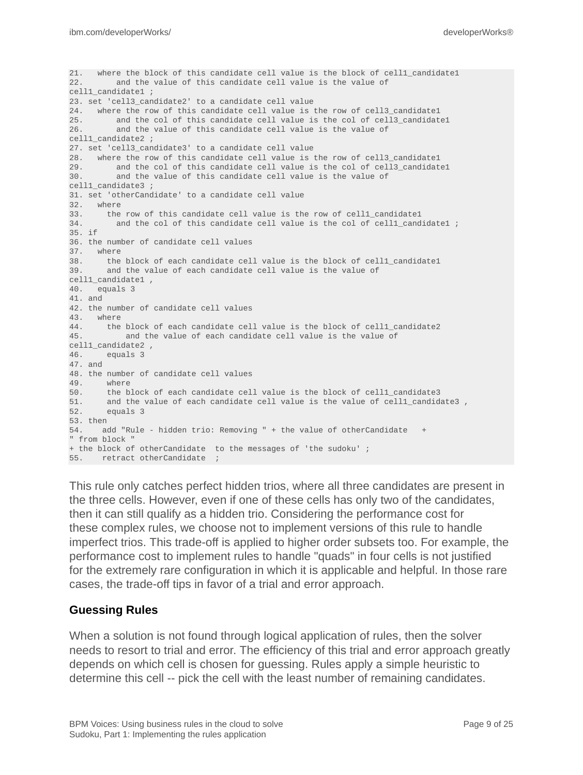```
21. where the block of this candidate cell value is the block of cell1 candidate1
22. and the value of this candidate cell value is the value of
cell1_candidate1 ;
23. set 'cell3_candidate2' to a candidate cell value
24. where the row of this candidate cell value is the row of cell3_candidate1
         and the col of this candidate cell value is the col of cell3_candidate1
26. and the value of this candidate cell value is the value of
cell1_candidate2 ;
27. set 'cell3_candidate3' to a candidate cell value
28. where the row of this candidate cell value is the row of cell3_candidate1<br>29. and the col of this candidate cell value is the col of cell3_candidate
29. and the col of this candidate cell value is the col of cell3_candidate1<br>30. and the value of this candidate cell value is the value of
          and the value of this candidate cell value is the value of
cell1_candidate3 ;
31. set 'otherCandidate' to a candidate cell value
32. where
33. the row of this candidate cell value is the row of cell1_candidate1<br>34. and the col of this candidate cell value is the col of cell1_cand
          and the col of this candidate cell value is the col of cell1_candidate1 ;
35. if
36. the number of candidate cell values
37. where
38. the block of each candidate cell value is the block of cell1_candidate1
39. and the value of each candidate cell value is the value of
cell1_candidate1 ,
40. equals 3
41. and
42. the number of candidate cell values
43. where
44. the block of each candidate cell value is the block of cell1_candidate2
45. and the value of each candidate cell value is the value of
cell1_candidate2 ,
46. equals 3
47. and
48. the number of candidate cell values
49. where
50. the block of each candidate cell value is the block of cell1_candidate3<br>51. and the value of each candidate cell value is the value of cell1 candidate
        and the value of each candidate cell value is the value of cell1_candidate3,
52. equals 3
53. then
54. add "Rule - hidden trio: Removing " + the value of otherCandidate +
" from block "
+ the block of otherCandidate to the messages of 'the sudoku' ;
55. retract otherCandidate ;
```
This rule only catches perfect hidden trios, where all three candidates are present in the three cells. However, even if one of these cells has only two of the candidates, then it can still qualify as a hidden trio. Considering the performance cost for these complex rules, we choose not to implement versions of this rule to handle imperfect trios. This trade-off is applied to higher order subsets too. For example, the performance cost to implement rules to handle "quads" in four cells is not justified for the extremely rare configuration in which it is applicable and helpful. In those rare cases, the trade-off tips in favor of a trial and error approach.

#### **Guessing Rules**

When a solution is not found through logical application of rules, then the solver needs to resort to trial and error. The efficiency of this trial and error approach greatly depends on which cell is chosen for guessing. Rules apply a simple heuristic to determine this cell -- pick the cell with the least number of remaining candidates.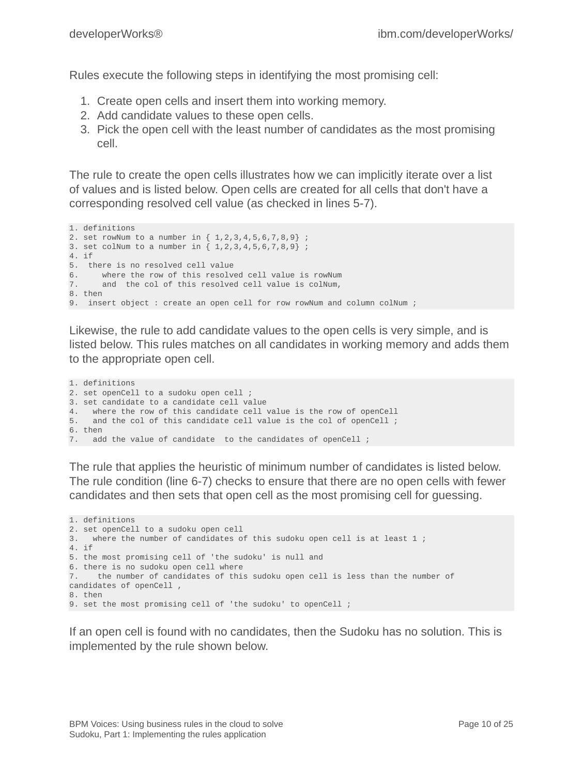Rules execute the following steps in identifying the most promising cell:

- 1. Create open cells and insert them into working memory.
- 2. Add candidate values to these open cells.
- 3. Pick the open cell with the least number of candidates as the most promising cell.

The rule to create the open cells illustrates how we can implicitly iterate over a list of values and is listed below. Open cells are created for all cells that don't have a corresponding resolved cell value (as checked in lines 5-7).

```
1. definitions
2. set rowNum to a number in { 1,2,3,4,5,6,7,8,9} ;
3. set colNum to a number in { 1,2,3,4,5,6,7,8,9} ;
4. if
5. there is no resolved cell value
6. where the row of this resolved cell value is rowNum<br>7. and the col of this resolved cell value is colNum,
       and the col of this resolved cell value is colNum,
8. then
9. insert object : create an open cell for row rowNum and column colNum ;
```
Likewise, the rule to add candidate values to the open cells is very simple, and is listed below. This rules matches on all candidates in working memory and adds them to the appropriate open cell.

```
1. definitions
2. set openCell to a sudoku open cell ;
3. set candidate to a candidate cell value
4. where the row of this candidate cell value is the row of openCell
5. and the col of this candidate cell value is the col of openCell;
6. then
7. add the value of candidate to the candidates of openCell ;
```
The rule that applies the heuristic of minimum number of candidates is listed below. The rule condition (line 6-7) checks to ensure that there are no open cells with fewer candidates and then sets that open cell as the most promising cell for guessing.

```
1. definitions
2. set openCell to a sudoku open cell<br>3. Where the number of candidates o
    where the number of candidates of this sudoku open cell is at least 1;
4. if
5. the most promising cell of 'the sudoku' is null and
6. there is no sudoku open cell where
7. the number of candidates of this sudoku open cell is less than the number of
candidates of openCell ,
8. then
9. set the most promising cell of 'the sudoku' to openCell ;
```
If an open cell is found with no candidates, then the Sudoku has no solution. This is implemented by the rule shown below.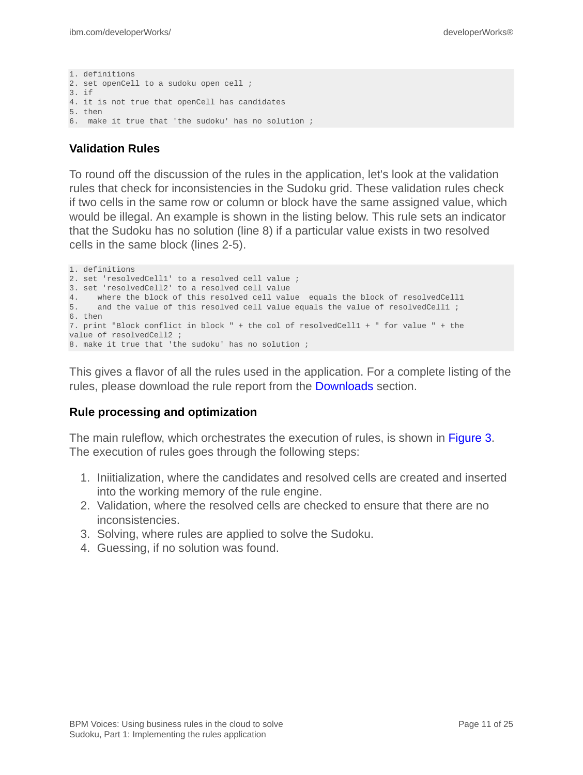```
1. definitions
2. set openCell to a sudoku open cell ;
3. if
4. it is not true that openCell has candidates
5. then
6. make it true that 'the sudoku' has no solution ;
```
#### **Validation Rules**

To round off the discussion of the rules in the application, let's look at the validation rules that check for inconsistencies in the Sudoku grid. These validation rules check if two cells in the same row or column or block have the same assigned value, which would be illegal. An example is shown in the listing below. This rule sets an indicator that the Sudoku has no solution (line 8) if a particular value exists in two resolved cells in the same block (lines 2-5).

```
1. definitions
2. set 'resolvedCell1' to a resolved cell value ;
3. set 'resolvedCell2' to a resolved cell value
4. where the block of this resolved cell value equals the block of resolvedCell1
5. and the value of this resolved cell value equals the value of resolvedCell1 ;
6. then
7. print "Block conflict in block " + the col of resolvedCell1 + " for value " + the
value of resolvedCell2 ;
8. make it true that 'the sudoku' has no solution ;
```
This gives a flavor of all the rules used in the application. For a complete listing of the rules, please download the rule report from the [Downloads](#page-22-0) section.

#### **Rule processing and optimization**

The main ruleflow, which orchestrates the execution of rules, is shown in Figure 3. The execution of rules goes through the following steps:

- 1. Iniitialization, where the candidates and resolved cells are created and inserted into the working memory of the rule engine.
- 2. Validation, where the resolved cells are checked to ensure that there are no inconsistencies.
- 3. Solving, where rules are applied to solve the Sudoku.
- 4. Guessing, if no solution was found.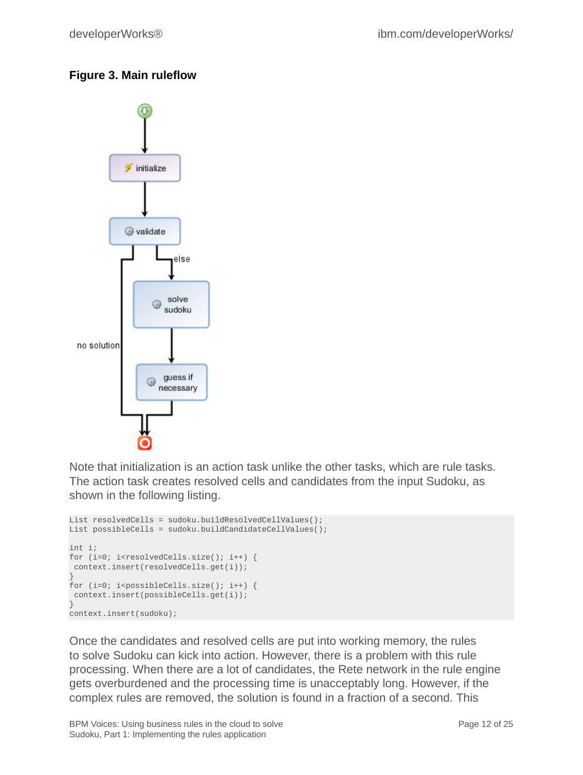### **Figure 3. Main ruleflow**



Note that initialization is an action task unlike the other tasks, which are rule tasks. The action task creates resolved cells and candidates from the input Sudoku, as shown in the following listing.

```
List resolvedCells = sudoku.buildResolvedCellValues();
List possibleCells = sudoku.buildCandidateCellValues();
int i;
for (i=0; i<resolvedCells.size(); i++) {
 context.insert(resolvedCells.get(i));
}
for (i=0; i<possibleCells.size(); i++) {
 context.insert(possibleCells.get(i));
}
context.insert(sudoku);
```
Once the candidates and resolved cells are put into working memory, the rules to solve Sudoku can kick into action. However, there is a problem with this rule processing. When there are a lot of candidates, the Rete network in the rule engine gets overburdened and the processing time is unacceptably long. However, if the complex rules are removed, the solution is found in a fraction of a second. This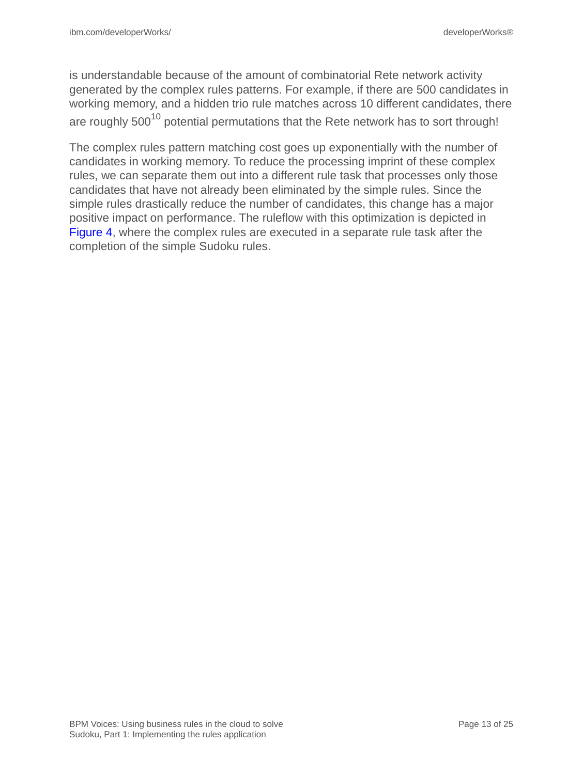is understandable because of the amount of combinatorial Rete network activity generated by the complex rules patterns. For example, if there are 500 candidates in working memory, and a hidden trio rule matches across 10 different candidates, there are roughly  $500^{10}$  potential permutations that the Rete network has to sort through!

The complex rules pattern matching cost goes up exponentially with the number of candidates in working memory. To reduce the processing imprint of these complex rules, we can separate them out into a different rule task that processes only those candidates that have not already been eliminated by the simple rules. Since the simple rules drastically reduce the number of candidates, this change has a major positive impact on performance. The ruleflow with this optimization is depicted in Figure 4, where the complex rules are executed in a separate rule task after the completion of the simple Sudoku rules.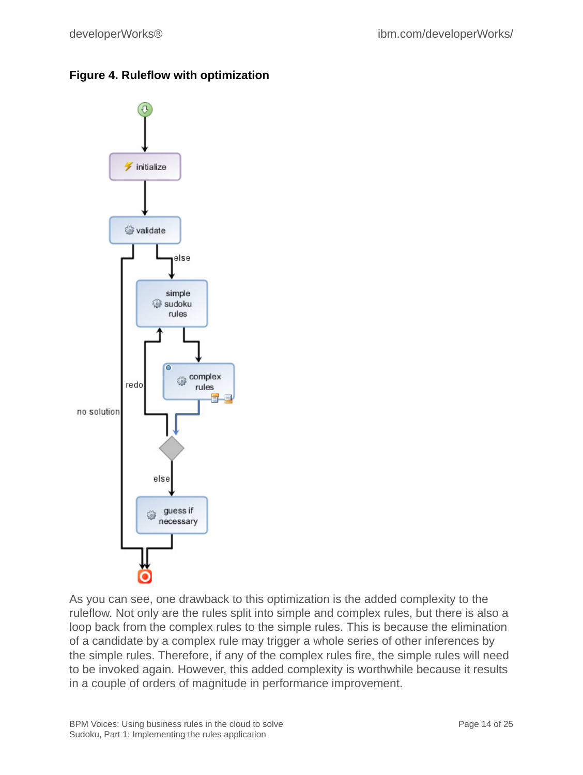#### **Figure 4. Ruleflow with optimization**



As you can see, one drawback to this optimization is the added complexity to the ruleflow. Not only are the rules split into simple and complex rules, but there is also a loop back from the complex rules to the simple rules. This is because the elimination of a candidate by a complex rule may trigger a whole series of other inferences by the simple rules. Therefore, if any of the complex rules fire, the simple rules will need to be invoked again. However, this added complexity is worthwhile because it results in a couple of orders of magnitude in performance improvement.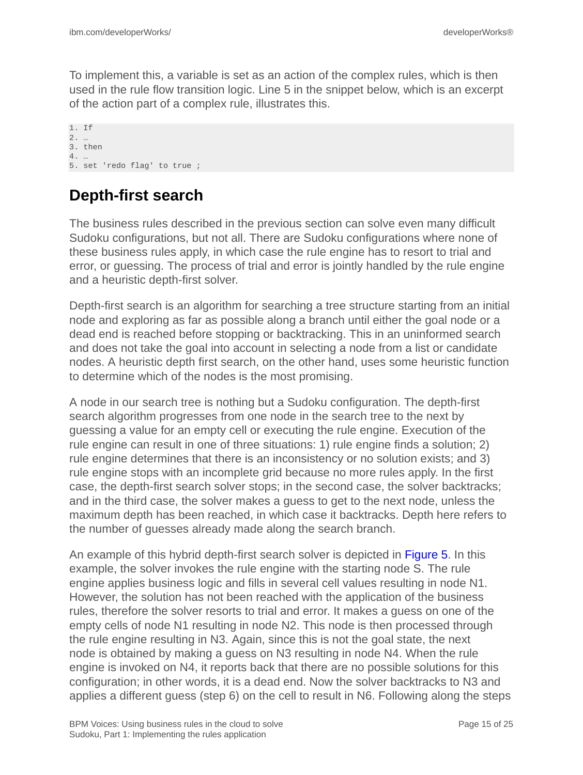To implement this, a variable is set as an action of the complex rules, which is then used in the rule flow transition logic. Line 5 in the snippet below, which is an excerpt of the action part of a complex rule, illustrates this.

1. If 2. … 3. then 4. … 5. set 'redo flag' to true ;

### **Depth-first search**

The business rules described in the previous section can solve even many difficult Sudoku configurations, but not all. There are Sudoku configurations where none of these business rules apply, in which case the rule engine has to resort to trial and error, or guessing. The process of trial and error is jointly handled by the rule engine and a heuristic depth-first solver.

Depth-first search is an algorithm for searching a tree structure starting from an initial node and exploring as far as possible along a branch until either the goal node or a dead end is reached before stopping or backtracking. This in an uninformed search and does not take the goal into account in selecting a node from a list or candidate nodes. A heuristic depth first search, on the other hand, uses some heuristic function to determine which of the nodes is the most promising.

A node in our search tree is nothing but a Sudoku configuration. The depth-first search algorithm progresses from one node in the search tree to the next by guessing a value for an empty cell or executing the rule engine. Execution of the rule engine can result in one of three situations: 1) rule engine finds a solution; 2) rule engine determines that there is an inconsistency or no solution exists; and 3) rule engine stops with an incomplete grid because no more rules apply. In the first case, the depth-first search solver stops; in the second case, the solver backtracks; and in the third case, the solver makes a guess to get to the next node, unless the maximum depth has been reached, in which case it backtracks. Depth here refers to the number of guesses already made along the search branch.

An example of this hybrid depth-first search solver is depicted in Figure 5. In this example, the solver invokes the rule engine with the starting node S. The rule engine applies business logic and fills in several cell values resulting in node N1. However, the solution has not been reached with the application of the business rules, therefore the solver resorts to trial and error. It makes a guess on one of the empty cells of node N1 resulting in node N2. This node is then processed through the rule engine resulting in N3. Again, since this is not the goal state, the next node is obtained by making a guess on N3 resulting in node N4. When the rule engine is invoked on N4, it reports back that there are no possible solutions for this configuration; in other words, it is a dead end. Now the solver backtracks to N3 and applies a different guess (step 6) on the cell to result in N6. Following along the steps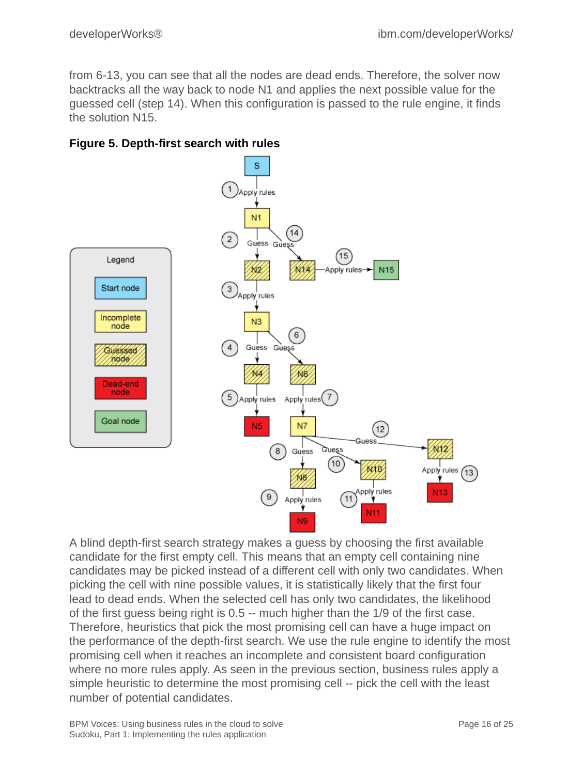from 6-13, you can see that all the nodes are dead ends. Therefore, the solver now backtracks all the way back to node N1 and applies the next possible value for the guessed cell (step 14). When this configuration is passed to the rule engine, it finds the solution N15.





A blind depth-first search strategy makes a guess by choosing the first available candidate for the first empty cell. This means that an empty cell containing nine candidates may be picked instead of a different cell with only two candidates. When picking the cell with nine possible values, it is statistically likely that the first four lead to dead ends. When the selected cell has only two candidates, the likelihood of the first guess being right is 0.5 -- much higher than the 1/9 of the first case. Therefore, heuristics that pick the most promising cell can have a huge impact on the performance of the depth-first search. We use the rule engine to identify the most promising cell when it reaches an incomplete and consistent board configuration where no more rules apply. As seen in the previous section, business rules apply a simple heuristic to determine the most promising cell -- pick the cell with the least number of potential candidates.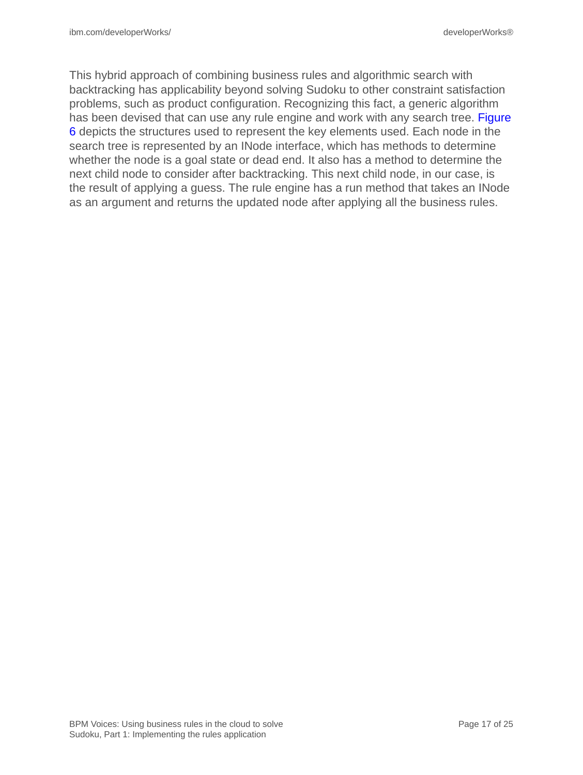This hybrid approach of combining business rules and algorithmic search with backtracking has applicability beyond solving Sudoku to other constraint satisfaction problems, such as product configuration. Recognizing this fact, a generic algorithm has been devised that can use any rule engine and work with any search tree. Figure 6 depicts the structures used to represent the key elements used. Each node in the search tree is represented by an INode interface, which has methods to determine whether the node is a goal state or dead end. It also has a method to determine the next child node to consider after backtracking. This next child node, in our case, is the result of applying a guess. The rule engine has a run method that takes an INode as an argument and returns the updated node after applying all the business rules.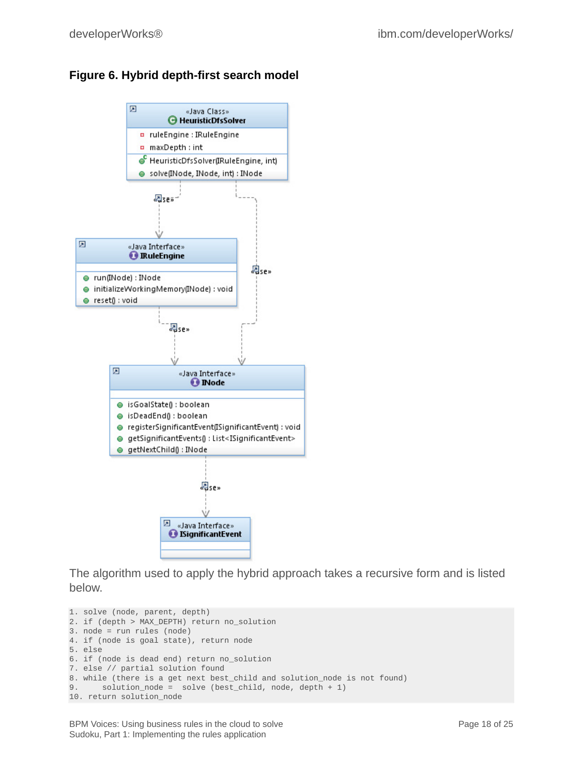#### **Figure 6. Hybrid depth-first search model**



The algorithm used to apply the hybrid approach takes a recursive form and is listed below.

```
1. solve (node, parent, depth)
2. if (depth > MAX_DEPTH) return no_solution
3. node = run rules (node)
4. if (node is goal state), return node
5. else
6. if (node is dead end) return no_solution
7. else // partial solution found
8. while (there is a get next best_child and solution_node is not found) 9. solution_node = solve (best_child, node, depth + 1)
        solution\_node = solve (best\_child, node, depth + 1)10. return solution_node
```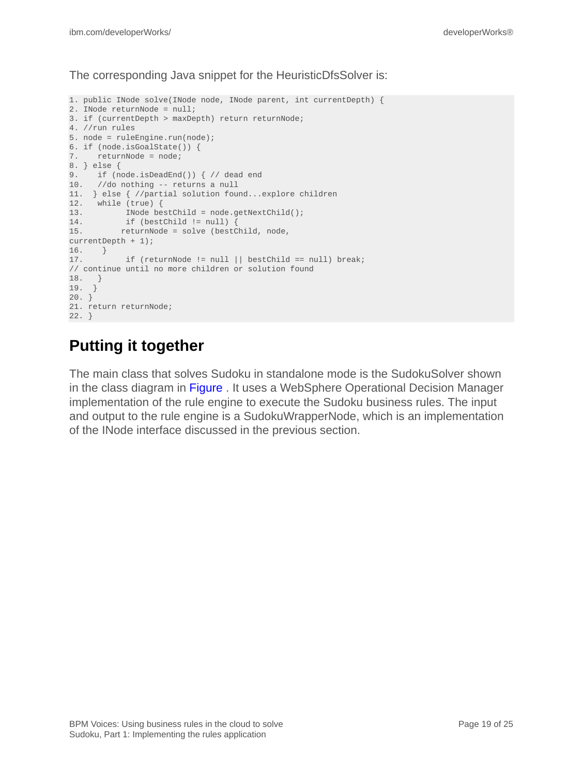The corresponding Java snippet for the HeuristicDfsSolver is:

```
1. public INode solve(INode node, INode parent, int currentDepth) {
2. INode returnNode = null;
3. if (currentDepth > maxDepth) return returnNode;
4. //run rules
5. node = ruleEngine.run(node);
6. if (node.isGoalState()) {
7. returnNode = node;
8. } else {
9. if (node.isDeadEnd()) { // dead end
10. //do nothing -- returns a null
11. } else { //partial solution found...explore children
12. while (true) {
13. INode bestChild = node.getNextChild();
14. if (bestChild != null) {
15. returnNode = solve (bestChild, node,
currentDepth + 1);
16. }
17. if (returnNode != null || bestChild == null) break;
// continue until no more children or solution found
18. }
19. }
20. \}21. return returnNode;
22. }
```
### **Putting it together**

The main class that solves Sudoku in standalone mode is the SudokuSolver shown in the class diagram in [Figure .](fig7) It uses a WebSphere Operational Decision Manager implementation of the rule engine to execute the Sudoku business rules. The input and output to the rule engine is a SudokuWrapperNode, which is an implementation of the INode interface discussed in the previous section.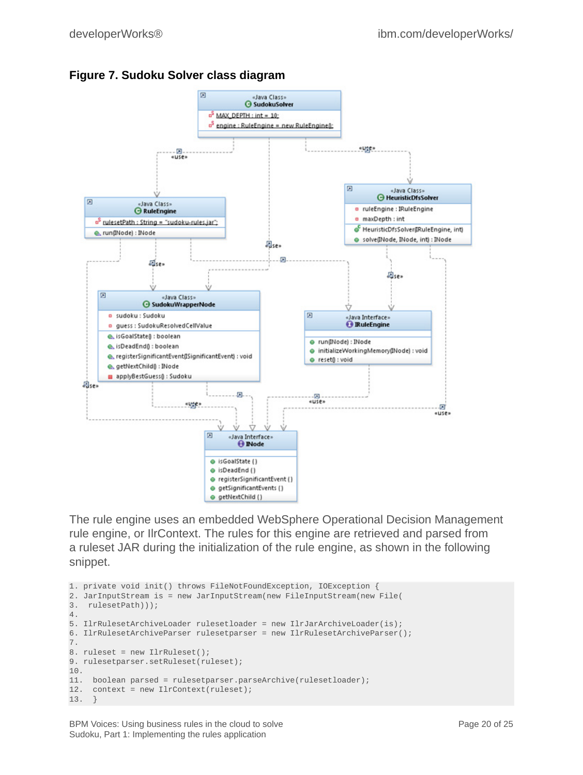



The rule engine uses an embedded WebSphere Operational Decision Management rule engine, or IlrContext. The rules for this engine are retrieved and parsed from a ruleset JAR during the initialization of the rule engine, as shown in the following snippet.

```
1. private void init() throws FileNotFoundException, IOException {
2. JarInputStream is = new JarInputStream(new FileInputStream(new File(
3. rulesetPath)));
4.
5. IlrRulesetArchiveLoader rulesetloader = new IlrJarArchiveLoader(is);
6. IlrRulesetArchiveParser rulesetparser = new IlrRulesetArchiveParser();
7.
8. ruleset = new IlrRuleset();
9. rulesetparser.setRuleset(ruleset);
10.
11. boolean parsed = rulesetparser.parseArchive(rulesetloader);
12. context = new IlrContext(ruleset);
13. }
```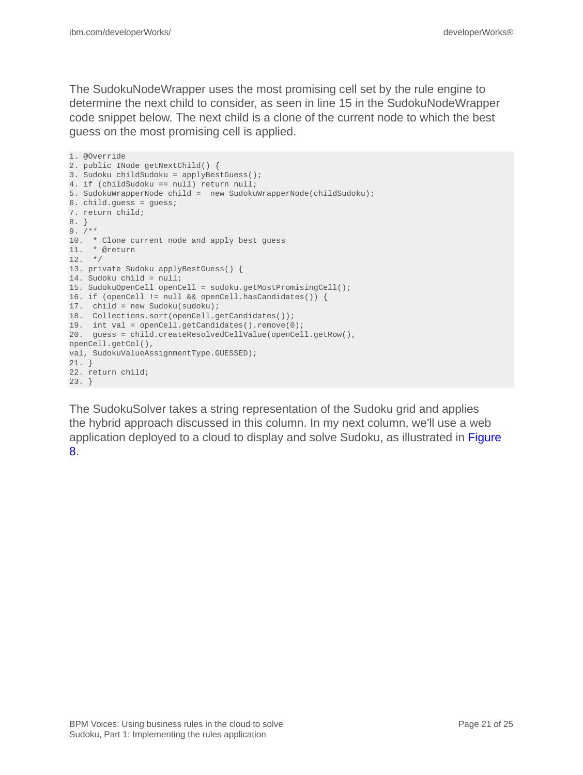The SudokuNodeWrapper uses the most promising cell set by the rule engine to determine the next child to consider, as seen in line 15 in the SudokuNodeWrapper code snippet below. The next child is a clone of the current node to which the best guess on the most promising cell is applied.

```
1. @Override
2. public INode getNextChild() {
3. Sudoku childSudoku = applyBestGuess();
4. if (childSudoku == null) return null;
5. SudokuWrapperNode child = new SudokuWrapperNode(childSudoku);
6. child.guess = guess;
7. return child;
8. }
9. /10. * Clone current node and apply best guess
11. * @return
12. */
13. private Sudoku applyBestGuess() {
14. Sudoku child = null;
15. SudokuOpenCell openCell = sudoku.getMostPromisingCell();
16. if (openCell != null && openCell.hasCandidates()) {
17. child = new Sudoku(sudoku);
18. Collections.sort(openCell.getCandidates());
19. int val = openCell.getCandidates().remove(0);
20. guess = child.createResolvedCellValue(openCell.getRow(),
openCell.getCol(),
val, SudokuValueAssignmentType.GUESSED);
21. }
22. return child;
23. }
```
The SudokuSolver takes a string representation of the Sudoku grid and applies the hybrid approach discussed in this column. In my next column, we'll use a web application deployed to a cloud to display and solve Sudoku, as illustrated in Figure 8.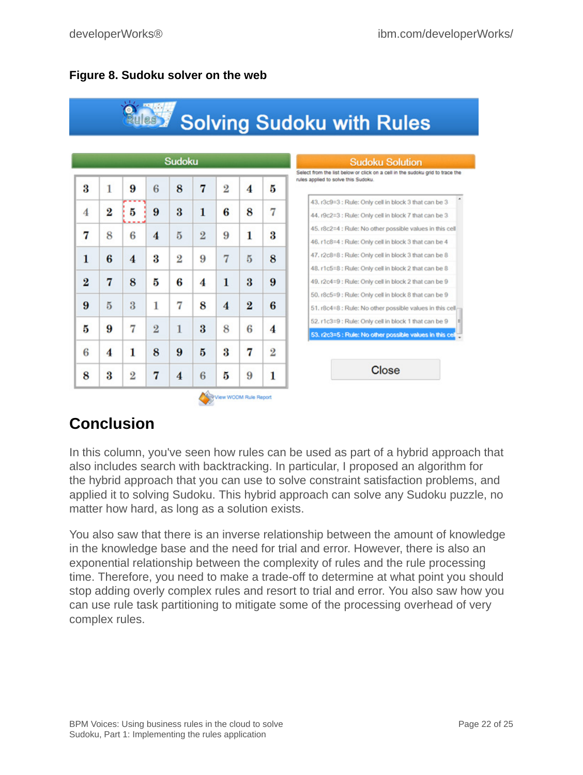#### **Figure 8. Sudoku solver on the web**



### **Conclusion**

In this column, you've seen how rules can be used as part of a hybrid approach that also includes search with backtracking. In particular, I proposed an algorithm for the hybrid approach that you can use to solve constraint satisfaction problems, and applied it to solving Sudoku. This hybrid approach can solve any Sudoku puzzle, no matter how hard, as long as a solution exists.

You also saw that there is an inverse relationship between the amount of knowledge in the knowledge base and the need for trial and error. However, there is also an exponential relationship between the complexity of rules and the rule processing time. Therefore, you need to make a trade-off to determine at what point you should stop adding overly complex rules and resort to trial and error. You also saw how you can use rule task partitioning to mitigate some of the processing overhead of very complex rules.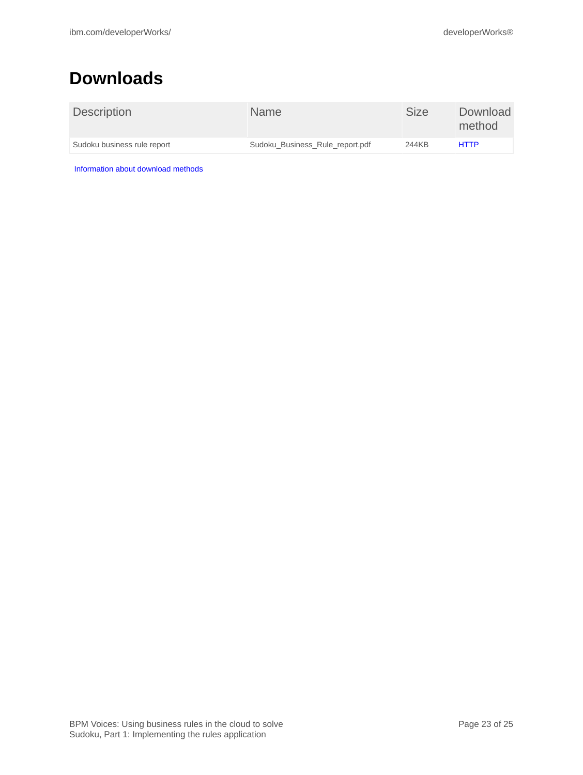### <span id="page-22-0"></span>**Downloads**

| <b>Description</b>          | Name                            | Size  | Download<br>method |
|-----------------------------|---------------------------------|-------|--------------------|
| Sudoku business rule report | Sudoku Business Rule report.pdf | 244KB | <b>HTTP</b>        |

[Information about download methods](http://www.ibm.com/developerworks/library/whichmethod.html)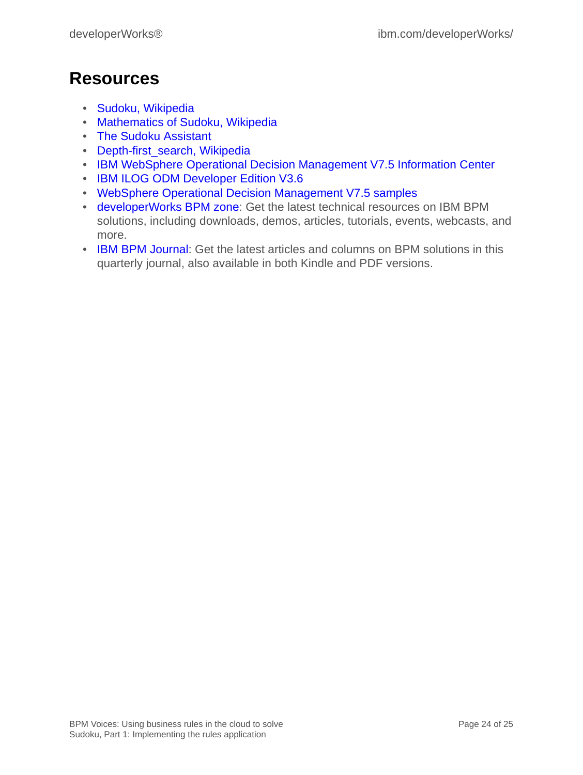### <span id="page-23-0"></span>**Resources**

- [Sudoku, Wikipedia](http://en.wikipedia.org/wiki/Sudoku)
- [Mathematics of Sudoku, Wikipedia](http://en.wikipedia.org/wiki/Mathematics_of_Sudoku)
- [The Sudoku Assistant](http://www.stolaf.edu/people/hansonr/sudoku/explain.htm)
- [Depth-first\\_search, Wikipedia](http://en.wikipedia.org/wiki/Depth-first_search)
- [IBM WebSphere Operational Decision Management V7.5 Information Center](http://publib.boulder.ibm.com/infocenter/dmanager/v7r5/index.jsp)
- [IBM ILOG ODM Developer Edition V3.6](http://pic.dhe.ibm.com/infocenter/odmeinfo/v3r6/index.jsp)
- [WebSphere Operational Decision Management V7.5 samples](http://www.ibm.com/developerworks/downloads/soasandbox/wodm.html?re=WODM_OV)
- [developerWorks BPM zone](http://www.ibm.com/developerworks/bpm/bpmjournal/): Get the latest technical resources on IBM BPM solutions, including downloads, demos, articles, tutorials, events, webcasts, and more.
- [IBM BPM Journal](http://www.ibm.com/developerworks/bpm/): Get the latest articles and columns on BPM solutions in this quarterly journal, also available in both Kindle and PDF versions.